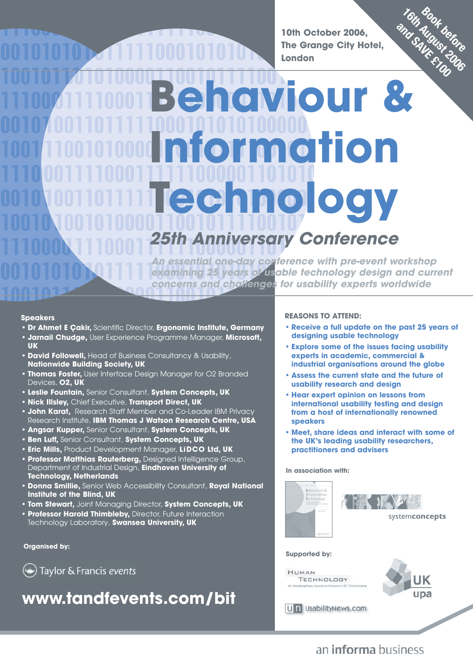**10th October 2006, The Grange City Hotel, London**

# **Behaviour & Information Technology 16th August 2006 Book before and August being and**

# *versary Conference*

**An essential one-day conference with pre-event workshop examining 25 years of usable technology design and current concerns and challenges for usability experts worldwide**

### **Speakers**

- **Dr Ahmet E Çakir,** Scientific Director, **Ergonomic Institute, Germany**
- **Jarnail Chudge,** User Experience Programme Manager, **Microsoft, UK**
- **David Followell,** Head of Business Consultancy & Usability, **Nationwide Building Society, UK**
- **Thomas Foster,** User Interface Design Manager for O2 Branded Devices, **O2, UK**
- **Leslie Fountain,** Senior Consultant, **System Concepts, UK**
- **Nick Illsley,** Chief Executive, **Transport Direct, UK**
- **John Karat,** Research Staff Member and Co-Leader IBM Privacy Research Institute, **IBM Thomas J Watson Research Centre, USA**
- **Angsar Kupper,** Senior Consultant, **System Concepts, UK**
- **Ben Luff,** Senior Consultant, **System Concepts, UK**
- **Eric Mills,** Product Development Manager, **LiDCO Ltd, UK**
- **Professor Matthias Rauterberg,** Designed Intelligence Group, Department of Industrial Design, **Eindhoven University of Technology, Netherlands**
- **Donna Smillie,** Senior Web Accessibility Consultant, **Royal National Institute of the Blind, UK**
- **Tom Stewart,** Joint Managing Director, **System Concepts, UK**
- **Professor Harold Thimbleby,** Director, Future Interaction Technology Laboratory, **Swansea University, UK**

### **Organised by:**

Taylor & Francis events

# **www.tandfevents.com/bit**

### **REASONS TO ATTEND:**

- **Receive a full update on the past 25 years of designing usable technology**
- **Explore some of the issues facing usability experts in academic, commercial & industrial organisations around the globe**
- **Assess the current state and the future of usability research and design**
- **Hear expert opinion on lessons from international usability testing and design from a host of internationally renowned speakers**
- **Meet, share ideas and interact with some of the UK's leading usability researchers, practitioners and advisers**

### **In association with:**





### **Supported by:**

HIMAN TECHNOLOGY



**Contract Contract Contract Contract Contract Contract Contract Contract Contract Contract Contract Contract Contract Contract Contract Contract Contract Contract Contract Contract Contract Contract Contract Contract Contr** 

Un UsabilityNews.com

## an **informa** business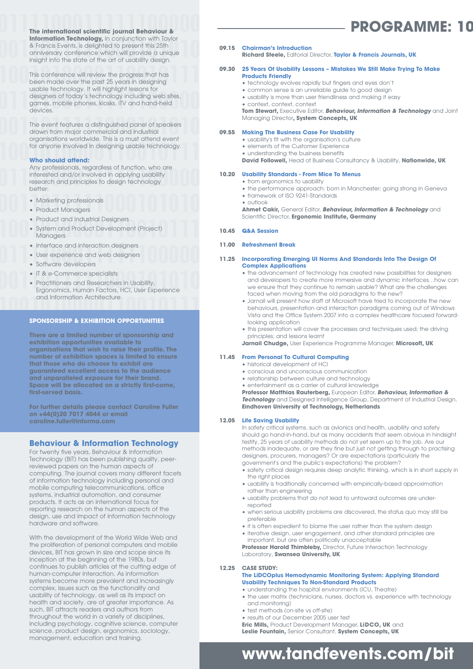**The international scientific journal Behaviour & Information Technology,** in conjunction with Taylor & Francis Events, is delighted to present this 25th anniversary conference which will provide a unique insight into the state of the art of usability design.

This conference will review the progress that has been made over the past 25 years in designing usable technology. It will highlight lessons for designers of today's technology including web sites, games, mobile phones, kiosks, iTV and hand-held devices.

The event features a distinguished panel of speakers drawn from major commercial and industrial organisations worldwide. This is a must attend event for anyone involved in designing usable technology.

### **Who should attend:**

Any professionals, regardless of function, who are interested and/or involved in applying usability research and principles to design technology better:

- Marketing professionals
- Product Managers
- Product and Industrial Designers
- System and Product Development (Project) Managers
- Interface and interaction designers
- User experience and web designers
- Software developers
- IT & e-Commerce specialists
- Practitioners and Researchers in Usability, Ergonomics, Human Factors, HCI, User Experience and Information Architecture

### **SPONSORSHIP & EXHIBITION OPPORTUNITIES**

**There are a limited number of sponsorship and exhibition opportunities available to organisations that wish to raise their profile. The number of exhibition spaces is limited to ensure that those who do choose to exhibit are guaranteed excellent access to the audience and unparalleled exposure for their brand. Space will be allocated on a strictly first-come, first-served basis.**

**For further details please contact Caroline Fuller on +44(0)20 7017 4044 or email caroline.fuller@informa.com** 

### **Behaviour & Information Technology**

For twenty five years, Behaviour & Information Technology (BIT) has been publishing quality, peerreviewed papers on the human aspects of computing. The journal covers many different facets of information technology including personal and mobile computing telecommunications, office systems, industrial automation, and consumer products. It acts as an international focus for reporting research on the human aspects of the design, use and impact of information technology hardware and software.

With the development of the World Wide Web and the proliferation of personal computers and mobile devices, BIT has grown in size and scope since its inception at the beginning of the 1980s, but continues to publish articles at the cutting edge of human-computer interaction. As information systems become more prevalent and increasingly complex, issues such as the functionality and usability of technology, as well as its impact on health and society, are of greater importance. As such, BIT attracts readers and authors from throughout the world in a variety of disciplines, including psychology, cognitive science, computer science, product design, ergonomics, sociology, management, education and training.

### **09.15 Chairman's Introduction**

**Richard Steele,** Editorial Director, **Taylor & Francis Journals, UK**

- **09.30 25 Years Of Usability Lessons Mistakes We Still Make Trying To Make Products Friendly** 
	- technology evolves rapidly but fingers and eyes don't
		- common sense is an unreliable guide to good design
		- usability is more than user friendliness and making it easy
		- context, context, context

**Tom Stewart, Executive Editor, Behaviour, Information & Technology and Joint** Managing Director**, System Concepts, UK**

### **09.55 Making The Business Case For Usability**

- usability's fit with the organisation's culture
- elements of the Customer Experience
- understanding the business benefits
- **David Followell,** Head of Business Consultancy & Usability, **Nationwide, UK**

### **10.20 Usability Standards - From Mice To Menus**

- from ergonomics to usability
- the performance approach: born in Manchester; going strong in Geneva
- framework of ISO 9241-Standards • outlook

**Ahmet Cakir,** General Editor, **Behaviour, Information & Technology** and Scientific Director, **Ergonomic Institute, Germany**

#### **10.45 Q&A Session**

#### **11.00 Refreshment Break**

#### **11.25 Incorporating Emerging UI Norms And Standards Into The Design Of Complex Applications**

- the advancement of technology has created new possibilities for designers and developers to create more immersive and dynamic interfaces…how can we ensure that they continue to remain usable? What are the challenges faced when moving from the old paradigms to the new?
- Jarnail will present how staff at Microsoft have tried to incorporate the new behaviours, presentation and interaction paradigms coming out of Windows Vista and the Office System 2007 into a complex healthcare focused forwardlooking application
- this presentation will cover the processes and techniques used; the driving principles; and lessons learnt

**Jarnail Chudge,** User Experience Programme Manager, **Microsoft, UK**

### **11.45 From Personal To Cultural Computing**

- historical development of HCI
- conscious and unconscious communication
- relationship between culture and technology
- entertainment as a carrier of cultural knowledge

**Professor Matthias Rauterberg,** European Editor, **Behaviour, Information & Technology** and Designed Intelligence Group, Department of Industrial Design, **Eindhoven University of Technology, Netherlands**

### **12.05 Life Saving Usability**

In safety critical systems, such as avionics and health, usability and safety should go hand-in-hand, but as many accidents that seem obvious in hindsight testify, 25 years of usability methods do not yet seem up to the job. Are our methods inadequate, or are they fine but just not getting through to practising designers, procurers, managers? Or are expectations (particularly the government's and the public's expectations) the problem?

- safety critical design requires deep analytic thinking, which is in short supply in the right places
- usability is traditionally concerned with empirically-based approximation rather than engineering
- usability problems that do not lead to untoward outcomes are underreported
- when serious usability problems are discovered, the status quo may still be preferable
- it is often expedient to blame the user rather than the system design
- iterative design, user engagement, and other standard principles are important, but are often politically unacceptable

**Professor Harold Thimbleby, Director, Future Interaction Technology** Laboratory, **Swansea University, UK**

### **12.25 CASE STUDY:**

### **The LiDCOplus Hemodynamic Monitoring System: Applying Standard Usability Techniques To Non-Standard Products**

- understanding the hospital environments (ICU, Theatre)
- the user matrix (technicians, nurses, doctors vs. experience with technology and monitoring)
- test methods (on-site vs off-site)
- results of our December 2005 user test
- **Eric Mills,** Product Development Manager, **LiDCO, UK** and

**Leslie Fountain,** Senior Consultant, **System Concepts, UK**

# **www.tandfevents.com/bit**

# **PROGRAMME: 10**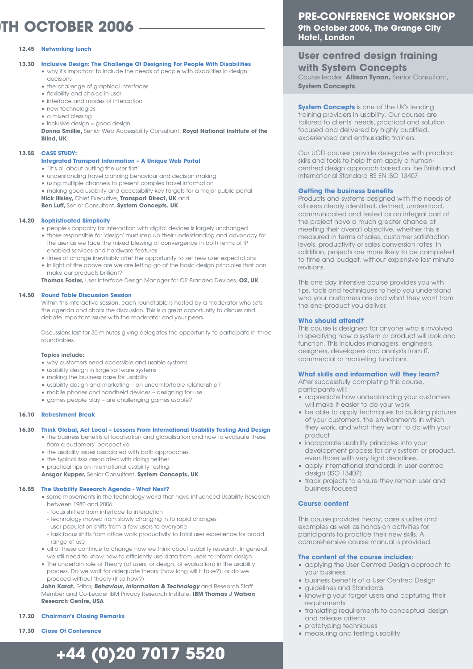# **0TH OCTOBER 2006**

### **12.45 Networking lunch**

- **13.30 Inclusive Design: The Challenge Of Designing For People With Disabilities**
	- why it's important to include the needs of people with disabilities in design decisions
		- the challenge of graphical interfaces
		- flexibility and choice in user
		- interface and modes of interaction
		- new technologies
		- a mixed blessing
		- inclusive design = good design

**Donna Smillie,** Senior Web Accessibility Consultant, **Royal National Institute of the Blind, UK** 

### **13.55 CASE STUDY:**

### **Integrated Transport Information – A Unique Web Portal**

- "it's all about putting the user first"
- understanding travel planning behaviour and decision making
- using multiple channels to present complex travel information
- making good usability and accessibility key targets for a major public portal **Nick Illsley,** Chief Executive, **Transport Direct, UK** and **Ben Luff,** Senior Consultant, **System Concepts, UK**
- 

### **14.20 Sophisticated Simplicity**

- people's capacity for interaction with digital devices is largely unchanged
- those responsible for 'design' must step up their understanding and advocacy for the user as we face the mixed blessing of convergence in both terms of IP enabled services and hardware features
- times of change inevitably offer the opportunity to set new user expectations
- in light of the above are we are letting go of the basic design principles that can make our products brilliant?

**Thomas Foster,** User Interface Design Manager for O2 Branded Devices, **O2, UK**

### **14.50 Round Table Discussion Session**

Within this interactive session, each roundtable is hosted by a moderator who sets the agenda and chairs the discussion. This is a great opportunity to discuss and debate important issues with the moderator and your peers.

Discussions last for 30 minutes giving delegates the opportunity to participate in three roundtables.

### **Topics include:**

- why customers need accessible and usable systems
- usability design in large software systems
- making the business case for usability
- usability design and marketing an uncomfortable relationship?
- mobile phones and handheld devices designing for use
- games people play are challenging games usable?

### **16.10 Refreshment Break**

### **16.30 Think Global, Act Local – Lessons From International Usability Testing And Design**

- the business benefits of localisation and globalisation and how to evaluate these from a customers' perspective.
	- the usability issues associated with both approaches.
	- the typical risks associated with doing neither
	- practical tips on international usability testing.

**Ansgar Kupper,** Senior Consultant, **System Concepts, UK**

#### **16.55 The Usability Research Agenda - What Next?**

- some movements in the technology world that have influenced Usability Research between 1980 and 2006:
	- focus shifted from interface to interaction
	- technology moved from slowly changing in to rapid changes
	- user population shifts from a few users to everyone
- task focus shifts from office work productivity to total user experience for broad range of use
- all of these continue to change how we think about usability research. In general, we still need to know how to efficiently use data from users to inform design.
- The uncertain role of Theory (of users, or design, of evaluation) in the usability process. Do we wait for adequate theory (how long will it take?), or do we proceed without theory (if so how?)

**John Karat,** Editor, **Behaviour, Information & Technology** and Research Staff Member and Co-Leader IBM Privacy Research Institute, **IBM Thomas J Watson Research Centre, USA**

#### **17.20 Chairman's Closing Remarks**

**17.30 Close Of Conference**

# **+44 (0)20 7017 5520**

### **PRE-CONFERENCE WORKSHOP 9th October 2006, The Grange City Hotel, London**

### **User centred design training with System Concepts**

Course leader: **Allison Tynan,** Senior Consultant, **System Concepts**

**System Concepts** is one of the UK's leading training providers in usability. Our courses are tailored to clients' needs, practical and solution focused and delivered by highly qualified, experienced and enthusiastic trainers.

Our UCD courses provide delegates with practical skills and tools to help them apply a humancentred design approach based on the British and International Standard BS EN ISO 13407.

### **Getting the business benefits**

Products and systems designed with the needs of all users clearly identified, defined, understood, communicated and tested as an integral part of the project have a much greater chance of meeting their overall objective, whether this is measured in terms of sales, customer satisfaction levels, productivity or sales conversion rates. In addition, projects are more likely to be completed to time and budget, without expensive last minute revisions.

This one day intensive course provides you with tips, tools and techniques to help you understand who your customers are and what they want from the end-product you deliver.

### **Who should attend?**

This course is designed for anyone who is involved in specifying how a system or product will look and function. This includes managers, engineers, designers, developers and analysts from IT, commercial or marketing functions.

### **What skills and information will they learn?**

After successfully completing this course, participants will:

- appreciate how understanding your customers will make it easier to do your work
- be able to apply techniques for building pictures of your customers, the environments in which they work, and what they want to do with your product
- incorporate usability principles into your development process for any system or product, even those with very tight deadlines.
- apply international standards in user centred design (ISO 13407)
- track projects to ensure they remain user and business focused

### **Course content**

This course provides theory, case studies and examples as well as hands-on activities for participants to practice their new skills. A comprehensive course manual is provided.

#### **The content of the course includes:**

- applying the User Centred Design approach to your business
- business benefits of a User Centred Design
- guidelines and Standards
- knowing your target users and capturing their requirements
- translating requirements to conceptual design and release criteria
- prototyping techniques
- 
- measuring and testing usability